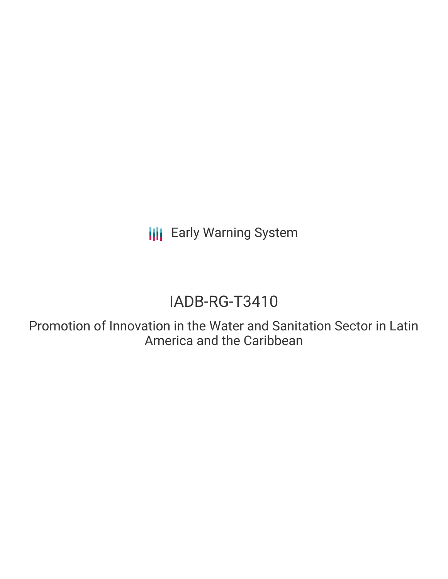**III** Early Warning System

# IADB-RG-T3410

Promotion of Innovation in the Water and Sanitation Sector in Latin America and the Caribbean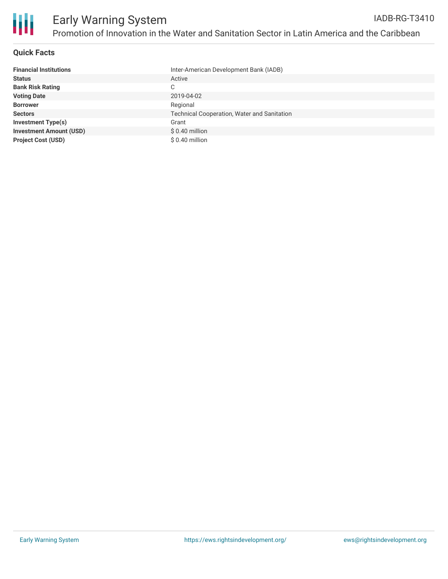

## **Quick Facts**

| <b>Financial Institutions</b>  | Inter-American Development Bank (IADB)             |
|--------------------------------|----------------------------------------------------|
| <b>Status</b>                  | Active                                             |
| <b>Bank Risk Rating</b>        | С                                                  |
| <b>Voting Date</b>             | 2019-04-02                                         |
| <b>Borrower</b>                | Regional                                           |
| <b>Sectors</b>                 | <b>Technical Cooperation, Water and Sanitation</b> |
| <b>Investment Type(s)</b>      | Grant                                              |
| <b>Investment Amount (USD)</b> | \$0.40 million                                     |
| <b>Project Cost (USD)</b>      | \$ 0.40 million                                    |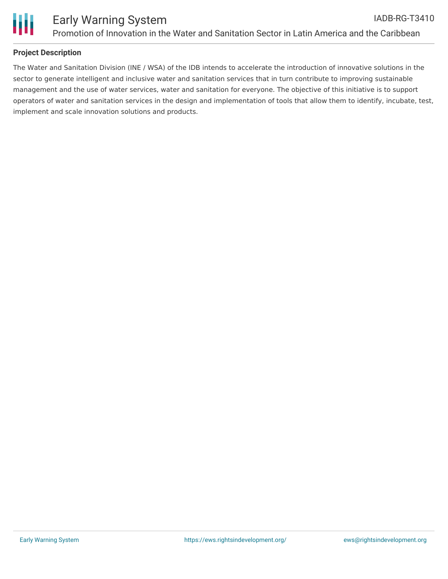

## **Project Description**

The Water and Sanitation Division (INE / WSA) of the IDB intends to accelerate the introduction of innovative solutions in the sector to generate intelligent and inclusive water and sanitation services that in turn contribute to improving sustainable management and the use of water services, water and sanitation for everyone. The objective of this initiative is to support operators of water and sanitation services in the design and implementation of tools that allow them to identify, incubate, test, implement and scale innovation solutions and products.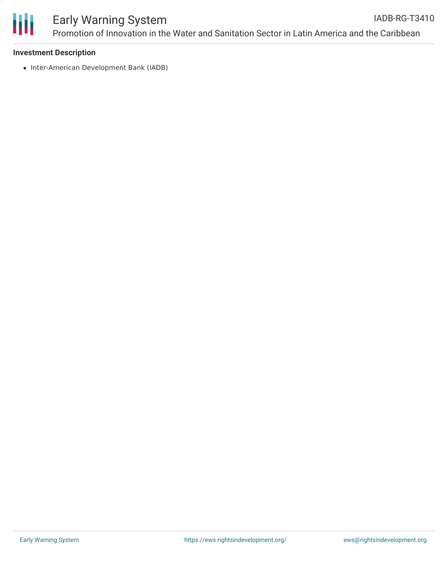

#### **Investment Description**

• Inter-American Development Bank (IADB)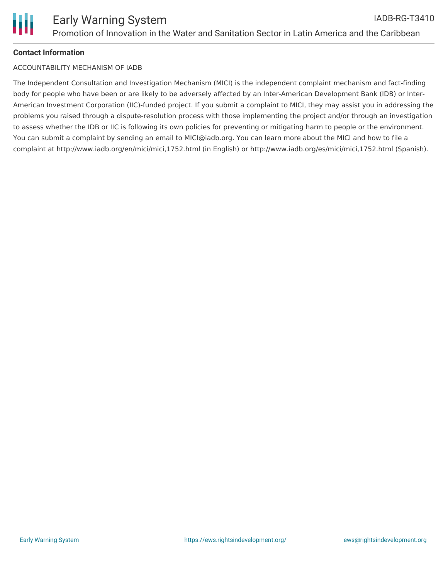# **Contact Information**

#### ACCOUNTABILITY MECHANISM OF IADB

The Independent Consultation and Investigation Mechanism (MICI) is the independent complaint mechanism and fact-finding body for people who have been or are likely to be adversely affected by an Inter-American Development Bank (IDB) or Inter-American Investment Corporation (IIC)-funded project. If you submit a complaint to MICI, they may assist you in addressing the problems you raised through a dispute-resolution process with those implementing the project and/or through an investigation to assess whether the IDB or IIC is following its own policies for preventing or mitigating harm to people or the environment. You can submit a complaint by sending an email to MICI@iadb.org. You can learn more about the MICI and how to file a complaint at http://www.iadb.org/en/mici/mici,1752.html (in English) or http://www.iadb.org/es/mici/mici,1752.html (Spanish).